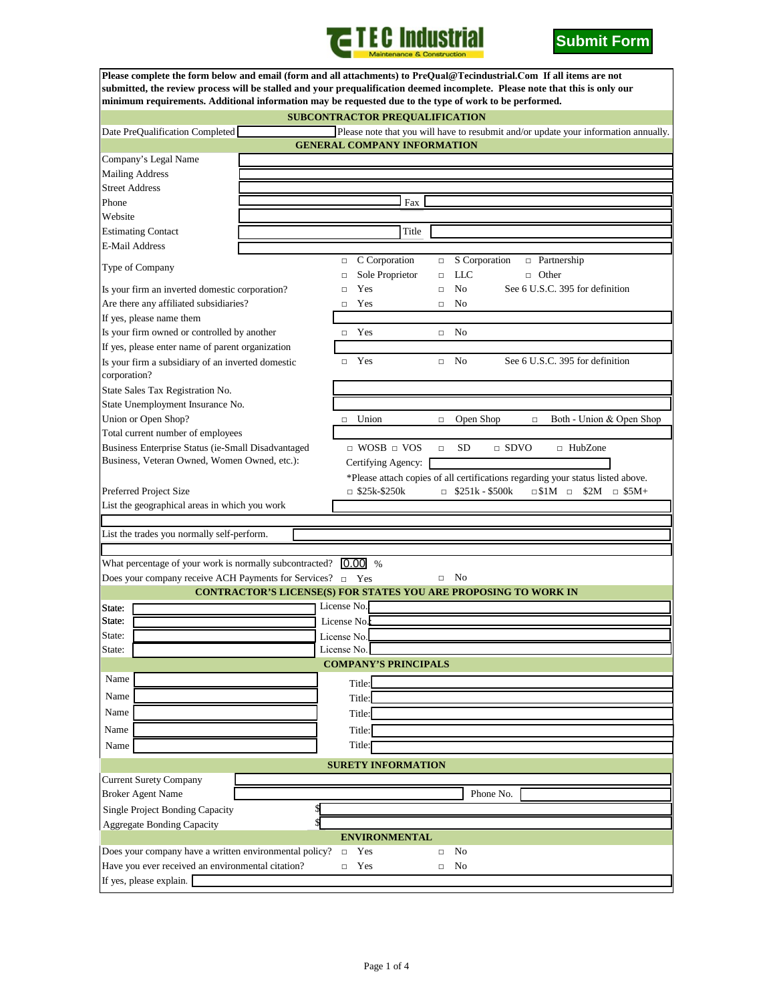



|                                                                                                     | <b>Submit Form</b>                                                                                                                                                                                                                                                                                                                                              |  |  |  |  |
|-----------------------------------------------------------------------------------------------------|-----------------------------------------------------------------------------------------------------------------------------------------------------------------------------------------------------------------------------------------------------------------------------------------------------------------------------------------------------------------|--|--|--|--|
|                                                                                                     | Please complete the form below and email (form and all attachments) to PreQual@Tecindustrial.Com If all items are not<br>submitted, the review process will be stalled and your prequalification deemed incomplete. Please note that this is only our<br>minimum requirements. Additional information may be requested due to the type of work to be performed. |  |  |  |  |
|                                                                                                     | <b>SUBCONTRACTOR PREQUALIFICATION</b>                                                                                                                                                                                                                                                                                                                           |  |  |  |  |
| Date PreQualification Completed                                                                     | Please note that you will have to resubmit and/or update your information annually.                                                                                                                                                                                                                                                                             |  |  |  |  |
|                                                                                                     | <b>GENERAL COMPANY INFORMATION</b>                                                                                                                                                                                                                                                                                                                              |  |  |  |  |
| Company's Legal Name                                                                                |                                                                                                                                                                                                                                                                                                                                                                 |  |  |  |  |
| <b>Mailing Address</b>                                                                              |                                                                                                                                                                                                                                                                                                                                                                 |  |  |  |  |
| <b>Street Address</b>                                                                               |                                                                                                                                                                                                                                                                                                                                                                 |  |  |  |  |
| Phone                                                                                               | Fax                                                                                                                                                                                                                                                                                                                                                             |  |  |  |  |
| Website                                                                                             |                                                                                                                                                                                                                                                                                                                                                                 |  |  |  |  |
| <b>Estimating Contact</b>                                                                           | Title                                                                                                                                                                                                                                                                                                                                                           |  |  |  |  |
| <b>E-Mail Address</b>                                                                               |                                                                                                                                                                                                                                                                                                                                                                 |  |  |  |  |
| Type of Company                                                                                     | C Corporation<br>S Corporation<br>n Partnership<br>$\Box$<br>$\Box$<br>Sole Proprietor<br>LLC<br>$\Box$ Other<br>$\Box$<br>$\Box$                                                                                                                                                                                                                               |  |  |  |  |
| Is your firm an inverted domestic corporation?                                                      | See 6 U.S.C. 395 for definition<br>N <sub>0</sub><br>Yes<br>$\Box$<br>$\Box$                                                                                                                                                                                                                                                                                    |  |  |  |  |
| Are there any affiliated subsidiaries?                                                              | Yes<br>No<br>$\Box$<br>$\Box$                                                                                                                                                                                                                                                                                                                                   |  |  |  |  |
| If yes, please name them                                                                            |                                                                                                                                                                                                                                                                                                                                                                 |  |  |  |  |
| Is your firm owned or controlled by another                                                         | $\neg$ Yes<br>No<br>$\Box$                                                                                                                                                                                                                                                                                                                                      |  |  |  |  |
| If yes, please enter name of parent organization                                                    |                                                                                                                                                                                                                                                                                                                                                                 |  |  |  |  |
| Is your firm a subsidiary of an inverted domestic<br>corporation?                                   | Yes<br>See 6 U.S.C. 395 for definition<br>No<br>$\Box$<br>$\Box$                                                                                                                                                                                                                                                                                                |  |  |  |  |
| State Sales Tax Registration No.                                                                    |                                                                                                                                                                                                                                                                                                                                                                 |  |  |  |  |
| State Unemployment Insurance No.                                                                    |                                                                                                                                                                                                                                                                                                                                                                 |  |  |  |  |
| Union or Open Shop?                                                                                 | Union<br>Open Shop<br>Both - Union & Open Shop<br>$\Box$<br>$\Box$<br>$\Box$                                                                                                                                                                                                                                                                                    |  |  |  |  |
| Total current number of employees                                                                   |                                                                                                                                                                                                                                                                                                                                                                 |  |  |  |  |
| Business Enterprise Status (ie-Small Disadvantaged                                                  | $\Box$ WOSB $\Box$ VOS<br><b>SD</b><br>$\Box$ SDVO<br>$\Box$ HubZone<br>$\Box$                                                                                                                                                                                                                                                                                  |  |  |  |  |
| Business, Veteran Owned, Women Owned, etc.):                                                        | Certifying Agency:                                                                                                                                                                                                                                                                                                                                              |  |  |  |  |
| Preferred Project Size                                                                              | *Please attach copies of all certifications regarding your status listed above.<br>$\Box$ \$25k-\$250k<br>$\Box$ \$251k - \$500k<br>$\Box$ \$1M $\Box$<br>\$2M<br>$\Box$ \$5M+                                                                                                                                                                                  |  |  |  |  |
| List the geographical areas in which you work                                                       |                                                                                                                                                                                                                                                                                                                                                                 |  |  |  |  |
|                                                                                                     |                                                                                                                                                                                                                                                                                                                                                                 |  |  |  |  |
| List the trades you normally self-perform.                                                          |                                                                                                                                                                                                                                                                                                                                                                 |  |  |  |  |
|                                                                                                     |                                                                                                                                                                                                                                                                                                                                                                 |  |  |  |  |
| What percentage of your work is normally subcontracted? $[0.00]$ %                                  |                                                                                                                                                                                                                                                                                                                                                                 |  |  |  |  |
| Does your company receive ACH Payments for Services? $\Box$ Yes                                     | $\Box$ No                                                                                                                                                                                                                                                                                                                                                       |  |  |  |  |
|                                                                                                     | <b>CONTRACTOR'S LICENSE(S) FOR STATES YOU ARE PROPOSING TO WORK IN</b>                                                                                                                                                                                                                                                                                          |  |  |  |  |
| State:                                                                                              | License No.                                                                                                                                                                                                                                                                                                                                                     |  |  |  |  |
| State:                                                                                              | License No.                                                                                                                                                                                                                                                                                                                                                     |  |  |  |  |
| State:                                                                                              | License No.                                                                                                                                                                                                                                                                                                                                                     |  |  |  |  |
| State:                                                                                              | License No.                                                                                                                                                                                                                                                                                                                                                     |  |  |  |  |
| Name                                                                                                | <b>COMPANY'S PRINCIPALS</b>                                                                                                                                                                                                                                                                                                                                     |  |  |  |  |
|                                                                                                     | Title:                                                                                                                                                                                                                                                                                                                                                          |  |  |  |  |
| Name                                                                                                | Title:                                                                                                                                                                                                                                                                                                                                                          |  |  |  |  |
| Name                                                                                                | Title:                                                                                                                                                                                                                                                                                                                                                          |  |  |  |  |
| Name                                                                                                | Title:                                                                                                                                                                                                                                                                                                                                                          |  |  |  |  |
| Name                                                                                                | Title:                                                                                                                                                                                                                                                                                                                                                          |  |  |  |  |
|                                                                                                     | <b>SURETY INFORMATION</b>                                                                                                                                                                                                                                                                                                                                       |  |  |  |  |
| <b>Current Surety Company</b>                                                                       |                                                                                                                                                                                                                                                                                                                                                                 |  |  |  |  |
| <b>Broker Agent Name</b>                                                                            | Phone No.                                                                                                                                                                                                                                                                                                                                                       |  |  |  |  |
| Single Project Bonding Capacity                                                                     |                                                                                                                                                                                                                                                                                                                                                                 |  |  |  |  |
| <b>Aggregate Bonding Capacity</b>                                                                   |                                                                                                                                                                                                                                                                                                                                                                 |  |  |  |  |
| <b>ENVIRONMENTAL</b>                                                                                |                                                                                                                                                                                                                                                                                                                                                                 |  |  |  |  |
| Does your company have a written environmental policy?<br>N <sub>o</sub><br>Yes<br>$\Box$<br>$\Box$ |                                                                                                                                                                                                                                                                                                                                                                 |  |  |  |  |
| Have you ever received an environmental citation?<br>Yes<br>No<br>$\Box$<br>$\Box$                  |                                                                                                                                                                                                                                                                                                                                                                 |  |  |  |  |
| If yes, please explain.                                                                             |                                                                                                                                                                                                                                                                                                                                                                 |  |  |  |  |
|                                                                                                     |                                                                                                                                                                                                                                                                                                                                                                 |  |  |  |  |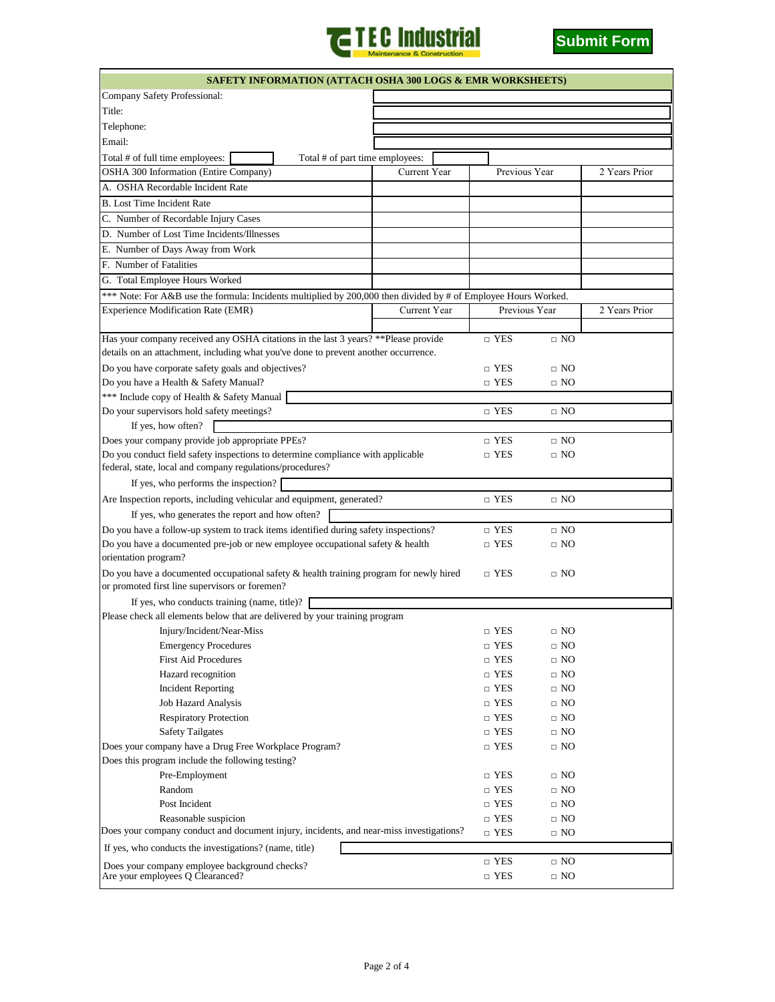



| <b>SAFETY INFORMATION (ATTACH OSHA 300 LOGS &amp; EMR WORKSHEETS)</b>                                                                                                      |                                                                             |                                 |              |            |                          |           |               |
|----------------------------------------------------------------------------------------------------------------------------------------------------------------------------|-----------------------------------------------------------------------------|---------------------------------|--------------|------------|--------------------------|-----------|---------------|
| Company Safety Professional:                                                                                                                                               |                                                                             |                                 |              |            |                          |           |               |
| Title:                                                                                                                                                                     |                                                                             |                                 |              |            |                          |           |               |
| Telephone:                                                                                                                                                                 |                                                                             |                                 |              |            |                          |           |               |
| Email:                                                                                                                                                                     |                                                                             |                                 |              |            |                          |           |               |
| Total # of full time employees:                                                                                                                                            |                                                                             | Total # of part time employees: |              |            |                          |           |               |
| OSHA 300 Information (Entire Company)                                                                                                                                      |                                                                             |                                 | Current Year |            | Previous Year            |           | 2 Years Prior |
| A. OSHA Recordable Incident Rate                                                                                                                                           |                                                                             |                                 |              |            |                          |           |               |
| <b>B.</b> Lost Time Incident Rate                                                                                                                                          |                                                                             |                                 |              |            |                          |           |               |
| C. Number of Recordable Injury Cases                                                                                                                                       |                                                                             |                                 |              |            |                          |           |               |
|                                                                                                                                                                            |                                                                             |                                 |              |            |                          |           |               |
| D. Number of Lost Time Incidents/Illnesses<br>E. Number of Days Away from Work                                                                                             |                                                                             |                                 |              |            |                          |           |               |
|                                                                                                                                                                            |                                                                             |                                 |              |            |                          |           |               |
| F. Number of Fatalities                                                                                                                                                    |                                                                             |                                 |              |            |                          |           |               |
| G. Total Employee Hours Worked                                                                                                                                             |                                                                             |                                 |              |            |                          |           |               |
| *** Note: For A&B use the formula: Incidents multiplied by 200,000 then divided by # of Employee Hours Worked.                                                             |                                                                             |                                 |              |            |                          |           |               |
| Experience Modification Rate (EMR)                                                                                                                                         |                                                                             |                                 | Current Year |            | Previous Year            |           | 2 Years Prior |
|                                                                                                                                                                            |                                                                             |                                 |              |            |                          |           |               |
| Has your company received any OSHA citations in the last 3 years? ** Please provide<br>details on an attachment, including what you've done to prevent another occurrence. |                                                                             |                                 |              |            | $\sqcap$ YES             | $\Box$ NO |               |
|                                                                                                                                                                            |                                                                             |                                 |              |            |                          |           |               |
| Do you have corporate safety goals and objectives?                                                                                                                         |                                                                             |                                 |              |            | $\Box$ YES               | $\Box$ NO |               |
| Do you have a Health & Safety Manual?                                                                                                                                      |                                                                             |                                 |              |            | $\Box$ YES               | $\Box$ NO |               |
| *** Include copy of Health & Safety Manual                                                                                                                                 |                                                                             |                                 |              |            |                          |           |               |
| Do your supervisors hold safety meetings?                                                                                                                                  |                                                                             |                                 |              |            | $\Box$ YES               | $\Box$ NO |               |
| If yes, how often?                                                                                                                                                         |                                                                             |                                 |              |            |                          |           |               |
| Does your company provide job appropriate PPEs?                                                                                                                            |                                                                             |                                 |              |            | $\Box$ YES               | $\Box$ NO |               |
| Do you conduct field safety inspections to determine compliance with applicable                                                                                            |                                                                             |                                 |              |            | $\Box$ YES               | $\Box$ NO |               |
| federal, state, local and company regulations/procedures?                                                                                                                  |                                                                             |                                 |              |            |                          |           |               |
| If yes, who performs the inspection?                                                                                                                                       |                                                                             |                                 |              |            |                          |           |               |
| Are Inspection reports, including vehicular and equipment, generated?                                                                                                      |                                                                             |                                 |              |            | $\Box$ YES               | $\Box$ NO |               |
| If yes, who generates the report and how often?                                                                                                                            |                                                                             |                                 |              |            |                          |           |               |
| Do you have a follow-up system to track items identified during safety inspections?                                                                                        |                                                                             |                                 |              |            | $\Box$ YES               | $\Box$ NO |               |
| Do you have a documented pre-job or new employee occupational safety & health<br>$\Box$ YES                                                                                |                                                                             |                                 |              |            | $\Box$ NO                |           |               |
| orientation program?                                                                                                                                                       |                                                                             |                                 |              |            |                          |           |               |
| Do you have a documented occupational safety $\&$ health training program for newly hired                                                                                  |                                                                             |                                 |              |            | $\Box$ YES               | $\Box$ NO |               |
| or promoted first line supervisors or foremen?                                                                                                                             |                                                                             |                                 |              |            |                          |           |               |
| If yes, who conducts training (name, title)?                                                                                                                               |                                                                             |                                 |              |            |                          |           |               |
|                                                                                                                                                                            | Please check all elements below that are delivered by your training program |                                 |              |            |                          | $\Box$ NO |               |
|                                                                                                                                                                            | Injury/Incident/Near-Miss                                                   |                                 |              |            | $\Box$ YES<br>$\Box$ YES | $\Box$ NO |               |
| <b>First Aid Procedures</b>                                                                                                                                                | <b>Emergency Procedures</b>                                                 |                                 |              |            | $\Box$ YES               | $\Box$ NO |               |
|                                                                                                                                                                            |                                                                             |                                 |              |            | $\Box$ YES               | $\Box$ NO |               |
|                                                                                                                                                                            | Hazard recognition                                                          |                                 |              |            | $\Box$ YES               | $\Box$ NO |               |
| <b>Incident Reporting</b>                                                                                                                                                  |                                                                             |                                 |              |            | $\Box$ YES               | $\Box$ NO |               |
| Job Hazard Analysis<br><b>Respiratory Protection</b>                                                                                                                       |                                                                             |                                 |              |            | $\Box$ YES               | $\Box$ NO |               |
| <b>Safety Tailgates</b>                                                                                                                                                    |                                                                             |                                 |              |            | $\Box$ YES               | $\Box$ NO |               |
| Does your company have a Drug Free Workplace Program?                                                                                                                      |                                                                             |                                 |              |            | $\Box$ YES               | $\Box$ NO |               |
| Does this program include the following testing?                                                                                                                           |                                                                             |                                 |              |            |                          |           |               |
| Pre-Employment                                                                                                                                                             |                                                                             |                                 |              |            | $\Box$ YES               | $\Box$ NO |               |
| Random                                                                                                                                                                     |                                                                             |                                 |              |            | $\Box$ YES               | $\Box$ NO |               |
| Post Incident                                                                                                                                                              |                                                                             |                                 |              |            | $\Box$ YES               | $\Box$ NO |               |
| Reasonable suspicion                                                                                                                                                       |                                                                             |                                 |              |            | $\Box$ YES               | $\Box$ NO |               |
| Does your company conduct and document injury, incidents, and near-miss investigations?                                                                                    |                                                                             |                                 |              | $\Box$ YES | $\Box$ NO                |           |               |
| If yes, who conducts the investigations? (name, title)                                                                                                                     |                                                                             |                                 |              |            |                          |           |               |
|                                                                                                                                                                            |                                                                             |                                 |              |            | $\hfill\Box$ YES         | $\Box$ NO |               |
| Does your company employee background checks?<br>Are your employees Q Clearanced?                                                                                          |                                                                             |                                 |              |            | $\hfill\Box$ YES         | $\Box$ NO |               |
|                                                                                                                                                                            |                                                                             |                                 |              |            |                          |           |               |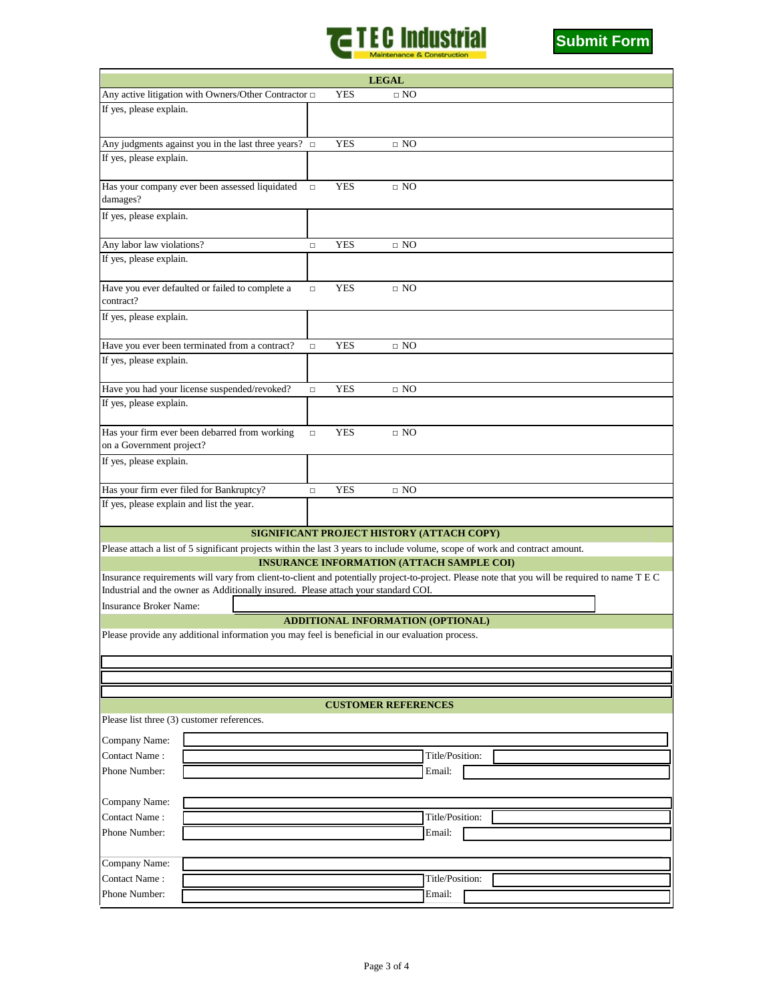



| <b>LEGAL</b>                                                                                                                         |                                                                                                                                                |        |            |                                                  |                 |  |  |
|--------------------------------------------------------------------------------------------------------------------------------------|------------------------------------------------------------------------------------------------------------------------------------------------|--------|------------|--------------------------------------------------|-----------------|--|--|
|                                                                                                                                      | Any active litigation with Owners/Other Contractor $\Box$                                                                                      |        | <b>YES</b> | $\Box$ NO                                        |                 |  |  |
| If yes, please explain.                                                                                                              |                                                                                                                                                |        |            |                                                  |                 |  |  |
|                                                                                                                                      | Any judgments against you in the last three years? $\Box$                                                                                      |        | <b>YES</b> | $\Box$ NO                                        |                 |  |  |
| If yes, please explain.                                                                                                              |                                                                                                                                                |        |            |                                                  |                 |  |  |
|                                                                                                                                      |                                                                                                                                                |        |            |                                                  |                 |  |  |
| damages?                                                                                                                             | Has your company ever been assessed liquidated                                                                                                 | $\Box$ | <b>YES</b> | $\Box$ NO                                        |                 |  |  |
| If yes, please explain.                                                                                                              |                                                                                                                                                |        |            |                                                  |                 |  |  |
| Any labor law violations?                                                                                                            |                                                                                                                                                | $\Box$ | <b>YES</b> | $\Box$ NO                                        |                 |  |  |
| If yes, please explain.                                                                                                              |                                                                                                                                                |        |            |                                                  |                 |  |  |
| contract?                                                                                                                            | Have you ever defaulted or failed to complete a                                                                                                | $\Box$ | <b>YES</b> | $\Box$ NO                                        |                 |  |  |
| If yes, please explain.                                                                                                              |                                                                                                                                                |        |            |                                                  |                 |  |  |
|                                                                                                                                      | Have you ever been terminated from a contract?                                                                                                 | $\Box$ | <b>YES</b> | $\Box$ NO                                        |                 |  |  |
| If yes, please explain.                                                                                                              |                                                                                                                                                |        |            |                                                  |                 |  |  |
|                                                                                                                                      | Have you had your license suspended/revoked?                                                                                                   | $\Box$ | <b>YES</b> | $\Box$ NO                                        |                 |  |  |
| If yes, please explain.                                                                                                              |                                                                                                                                                |        |            |                                                  |                 |  |  |
|                                                                                                                                      |                                                                                                                                                |        |            |                                                  |                 |  |  |
|                                                                                                                                      | Has your firm ever been debarred from working                                                                                                  | $\Box$ | <b>YES</b> | $\Box$ NO                                        |                 |  |  |
| on a Government project?                                                                                                             |                                                                                                                                                |        |            |                                                  |                 |  |  |
| If yes, please explain.                                                                                                              |                                                                                                                                                |        |            |                                                  |                 |  |  |
| Has your firm ever filed for Bankruptcy?                                                                                             |                                                                                                                                                | $\Box$ | YES        | $\Box$ NO                                        |                 |  |  |
| If yes, please explain and list the year.                                                                                            |                                                                                                                                                |        |            |                                                  |                 |  |  |
|                                                                                                                                      |                                                                                                                                                |        |            | SIGNIFICANT PROJECT HISTORY (ATTACH COPY)        |                 |  |  |
|                                                                                                                                      | Please attach a list of 5 significant projects within the last 3 years to include volume, scope of work and contract amount.                   |        |            |                                                  |                 |  |  |
|                                                                                                                                      |                                                                                                                                                |        |            | <b>INSURANCE INFORMATION (ATTACH SAMPLE COI)</b> |                 |  |  |
|                                                                                                                                      | Insurance requirements will vary from client-to-client and potentially project-to-project. Please note that you will be required to name T E C |        |            |                                                  |                 |  |  |
|                                                                                                                                      | Industrial and the owner as Additionally insured. Please attach your standard COI.                                                             |        |            |                                                  |                 |  |  |
| <b>Insurance Broker Name:</b>                                                                                                        |                                                                                                                                                |        |            |                                                  |                 |  |  |
| ADDITIONAL INFORMATION (OPTIONAL)<br>Please provide any additional information you may feel is beneficial in our evaluation process. |                                                                                                                                                |        |            |                                                  |                 |  |  |
|                                                                                                                                      |                                                                                                                                                |        |            |                                                  |                 |  |  |
|                                                                                                                                      |                                                                                                                                                |        |            |                                                  |                 |  |  |
|                                                                                                                                      |                                                                                                                                                |        |            |                                                  |                 |  |  |
|                                                                                                                                      |                                                                                                                                                |        |            |                                                  |                 |  |  |
|                                                                                                                                      |                                                                                                                                                |        |            | <b>CUSTOMER REFERENCES</b>                       |                 |  |  |
| Please list three (3) customer references.                                                                                           |                                                                                                                                                |        |            |                                                  |                 |  |  |
| Company Name:                                                                                                                        |                                                                                                                                                |        |            |                                                  |                 |  |  |
| Contact Name:                                                                                                                        |                                                                                                                                                |        |            |                                                  | Title/Position: |  |  |
| Phone Number:                                                                                                                        |                                                                                                                                                |        |            |                                                  | Email:          |  |  |
|                                                                                                                                      |                                                                                                                                                |        |            |                                                  |                 |  |  |
| Company Name:                                                                                                                        |                                                                                                                                                |        |            |                                                  |                 |  |  |
| Contact Name:                                                                                                                        |                                                                                                                                                |        |            |                                                  | Title/Position: |  |  |
| Phone Number:                                                                                                                        |                                                                                                                                                |        |            |                                                  | Email:          |  |  |
|                                                                                                                                      |                                                                                                                                                |        |            |                                                  |                 |  |  |
| Company Name:                                                                                                                        |                                                                                                                                                |        |            |                                                  |                 |  |  |
| Contact Name:                                                                                                                        |                                                                                                                                                |        |            |                                                  | Title/Position: |  |  |
| Phone Number:                                                                                                                        |                                                                                                                                                |        |            |                                                  | Email:          |  |  |